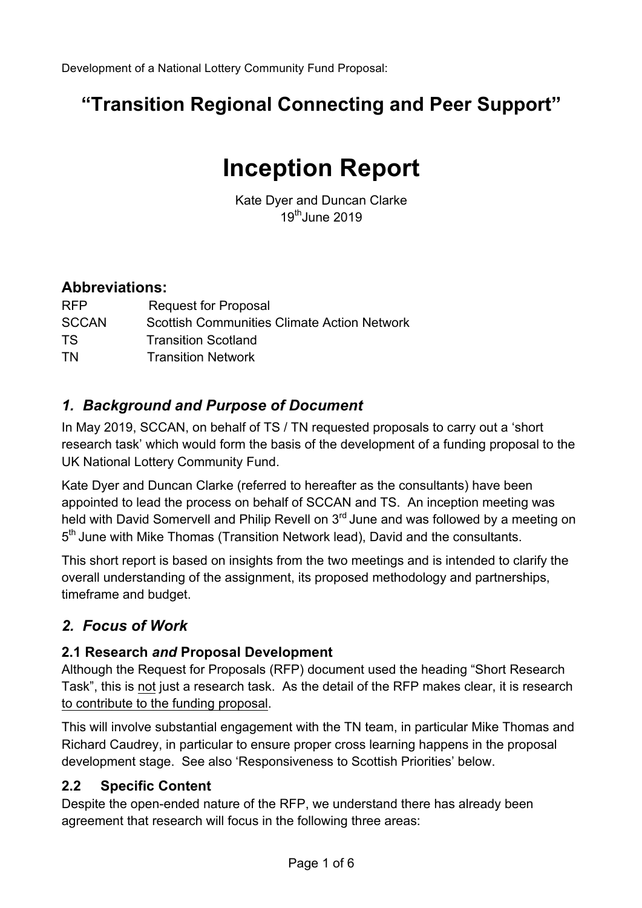# **"Transition Regional Connecting and Peer Support"**

# **Inception Report**

Kate Dyer and Duncan Clarke  $19<sup>th</sup>$ June 2019

### **Abbreviations:**

| <b>RFP</b>   | <b>Request for Proposal</b>                        |
|--------------|----------------------------------------------------|
| <b>SCCAN</b> | <b>Scottish Communities Climate Action Network</b> |
| TS.          | <b>Transition Scotland</b>                         |
| TN.          | <b>Transition Network</b>                          |

### *1. Background and Purpose of Document*

In May 2019, SCCAN, on behalf of TS / TN requested proposals to carry out a 'short research task' which would form the basis of the development of a funding proposal to the UK National Lottery Community Fund.

Kate Dyer and Duncan Clarke (referred to hereafter as the consultants) have been appointed to lead the process on behalf of SCCAN and TS. An inception meeting was held with David Somervell and Philip Revell on 3<sup>rd</sup> June and was followed by a meeting on 5<sup>th</sup> June with Mike Thomas (Transition Network lead), David and the consultants.

This short report is based on insights from the two meetings and is intended to clarify the overall understanding of the assignment, its proposed methodology and partnerships, timeframe and budget.

## *2. Focus of Work*

### **2.1 Research** *and* **Proposal Development**

Although the Request for Proposals (RFP) document used the heading "Short Research Task", this is not just a research task. As the detail of the RFP makes clear, it is research to contribute to the funding proposal.

This will involve substantial engagement with the TN team, in particular Mike Thomas and Richard Caudrey, in particular to ensure proper cross learning happens in the proposal development stage. See also 'Responsiveness to Scottish Priorities' below.

### **2.2 Specific Content**

Despite the open-ended nature of the RFP, we understand there has already been agreement that research will focus in the following three areas: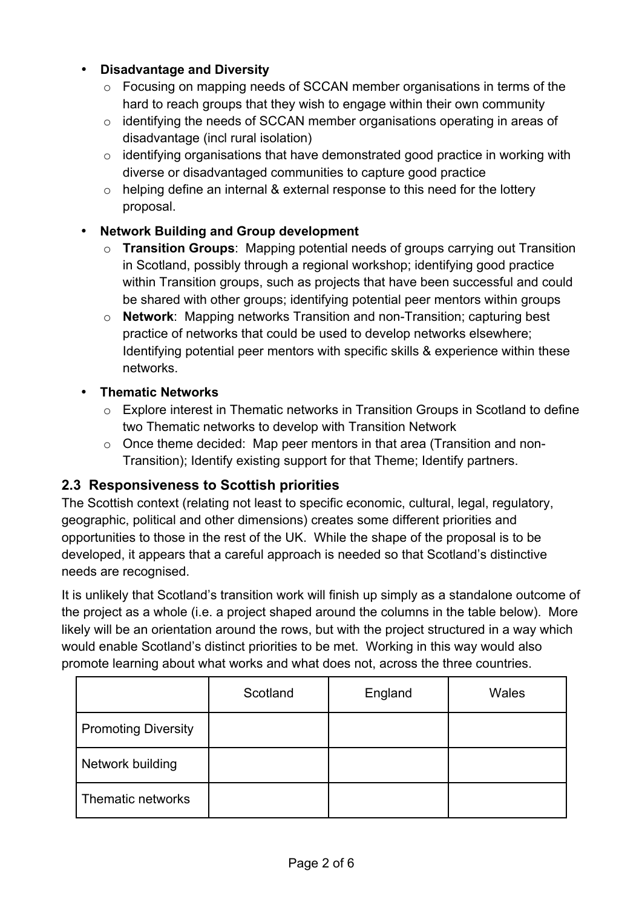#### • **Disadvantage and Diversity**

- o Focusing on mapping needs of SCCAN member organisations in terms of the hard to reach groups that they wish to engage within their own community
- o identifying the needs of SCCAN member organisations operating in areas of disadvantage (incl rural isolation)
- o identifying organisations that have demonstrated good practice in working with diverse or disadvantaged communities to capture good practice
- o helping define an internal & external response to this need for the lottery proposal.

#### • **Network Building and Group development**

- o **Transition Groups**: Mapping potential needs of groups carrying out Transition in Scotland, possibly through a regional workshop; identifying good practice within Transition groups, such as projects that have been successful and could be shared with other groups; identifying potential peer mentors within groups
- o **Network**: Mapping networks Transition and non-Transition; capturing best practice of networks that could be used to develop networks elsewhere; Identifying potential peer mentors with specific skills & experience within these networks.
- **Thematic Networks**
	- o Explore interest in Thematic networks in Transition Groups in Scotland to define two Thematic networks to develop with Transition Network
	- o Once theme decided: Map peer mentors in that area (Transition and non-Transition); Identify existing support for that Theme; Identify partners.

### **2.3 Responsiveness to Scottish priorities**

The Scottish context (relating not least to specific economic, cultural, legal, regulatory, geographic, political and other dimensions) creates some different priorities and opportunities to those in the rest of the UK. While the shape of the proposal is to be developed, it appears that a careful approach is needed so that Scotland's distinctive needs are recognised.

It is unlikely that Scotland's transition work will finish up simply as a standalone outcome of the project as a whole (i.e. a project shaped around the columns in the table below). More likely will be an orientation around the rows, but with the project structured in a way which would enable Scotland's distinct priorities to be met. Working in this way would also promote learning about what works and what does not, across the three countries.

|                            | Scotland | England | Wales |
|----------------------------|----------|---------|-------|
| <b>Promoting Diversity</b> |          |         |       |
| Network building           |          |         |       |
| Thematic networks          |          |         |       |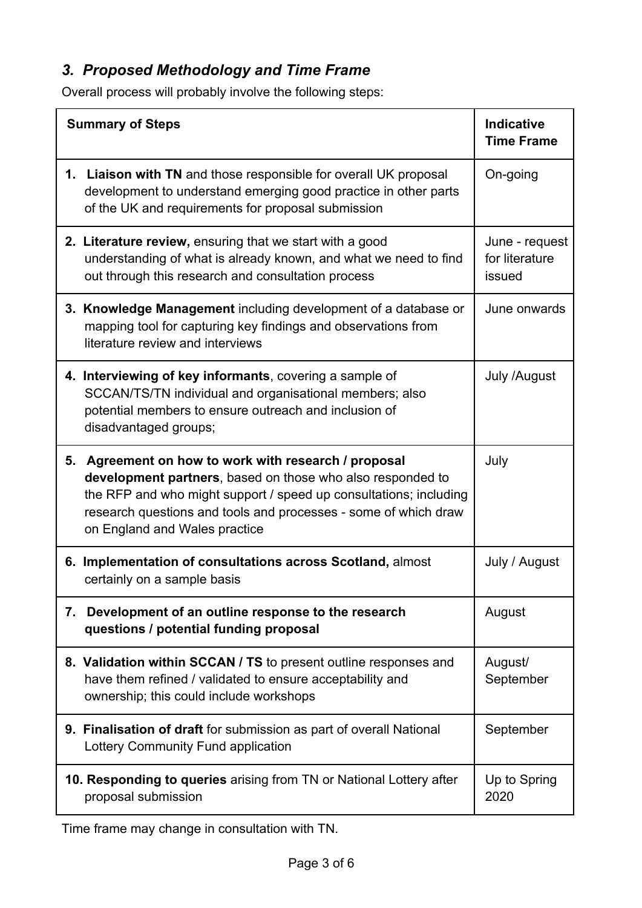# *3. Proposed Methodology and Time Frame*

Overall process will probably involve the following steps:

| <b>Summary of Steps</b>                                                                                                                                                                                                                                                                     | <b>Indicative</b><br><b>Time Frame</b>     |
|---------------------------------------------------------------------------------------------------------------------------------------------------------------------------------------------------------------------------------------------------------------------------------------------|--------------------------------------------|
| 1. Liaison with TN and those responsible for overall UK proposal<br>development to understand emerging good practice in other parts<br>of the UK and requirements for proposal submission                                                                                                   | On-going                                   |
| 2. Literature review, ensuring that we start with a good<br>understanding of what is already known, and what we need to find<br>out through this research and consultation process                                                                                                          | June - request<br>for literature<br>issued |
| 3. Knowledge Management including development of a database or<br>mapping tool for capturing key findings and observations from<br>literature review and interviews                                                                                                                         | June onwards                               |
| 4. Interviewing of key informants, covering a sample of<br>SCCAN/TS/TN individual and organisational members; also<br>potential members to ensure outreach and inclusion of<br>disadvantaged groups;                                                                                        | July /August                               |
| 5. Agreement on how to work with research / proposal<br>development partners, based on those who also responded to<br>the RFP and who might support / speed up consultations; including<br>research questions and tools and processes - some of which draw<br>on England and Wales practice | July                                       |
| 6. Implementation of consultations across Scotland, almost<br>certainly on a sample basis                                                                                                                                                                                                   | July / August                              |
| Development of an outline response to the research<br>7.<br>questions / potential funding proposal                                                                                                                                                                                          | August                                     |
| 8. Validation within SCCAN / TS to present outline responses and<br>have them refined / validated to ensure acceptability and<br>ownership; this could include workshops                                                                                                                    | August/<br>September                       |
| 9. Finalisation of draft for submission as part of overall National<br>Lottery Community Fund application                                                                                                                                                                                   | September                                  |
| 10. Responding to queries arising from TN or National Lottery after<br>proposal submission                                                                                                                                                                                                  | Up to Spring<br>2020                       |

Time frame may change in consultation with TN.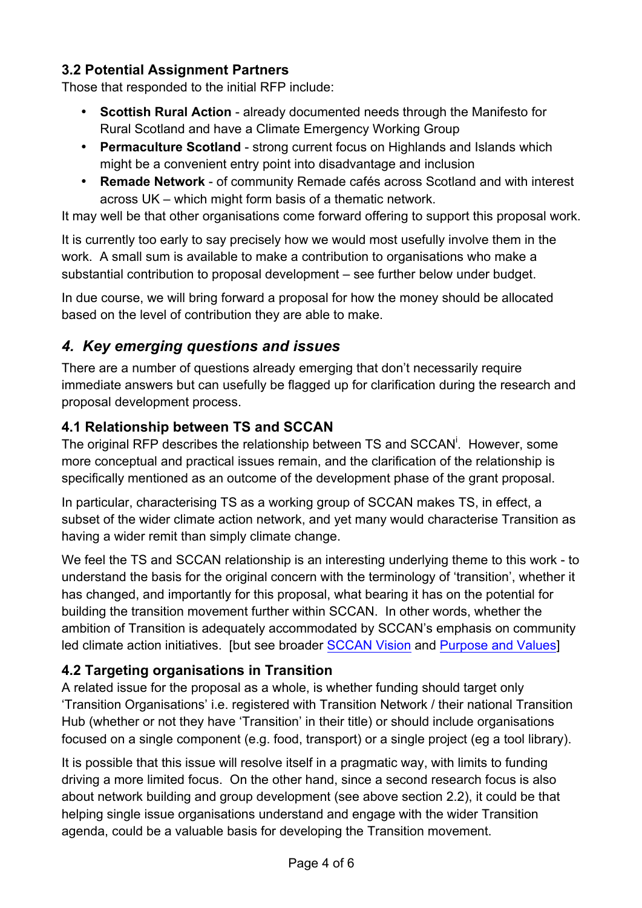### **3.2 Potential Assignment Partners**

Those that responded to the initial RFP include:

- **Scottish Rural Action**  already documented needs through the Manifesto for Rural Scotland and have a Climate Emergency Working Group
- **Permaculture Scotland**  strong current focus on Highlands and Islands which might be a convenient entry point into disadvantage and inclusion
- **Remade Network**  of community Remade cafés across Scotland and with interest across UK – which might form basis of a thematic network.

It may well be that other organisations come forward offering to support this proposal work.

It is currently too early to say precisely how we would most usefully involve them in the work. A small sum is available to make a contribution to organisations who make a substantial contribution to proposal development – see further below under budget.

In due course, we will bring forward a proposal for how the money should be allocated based on the level of contribution they are able to make.

# *4. Key emerging questions and issues*

There are a number of questions already emerging that don't necessarily require immediate answers but can usefully be flagged up for clarification during the research and proposal development process.

### **4.1 Relationship between TS and SCCAN**

The original RFP describes the relationship between TS and SCCAN<sup>i</sup>. However, some more conceptual and practical issues remain, and the clarification of the relationship is specifically mentioned as an outcome of the development phase of the grant proposal.

In particular, characterising TS as a working group of SCCAN makes TS, in effect, a subset of the wider climate action network, and yet many would characterise Transition as having a wider remit than simply climate change.

We feel the TS and SCCAN relationship is an interesting underlying theme to this work - to understand the basis for the original concern with the terminology of 'transition', whether it has changed, and importantly for this proposal, what bearing it has on the potential for building the transition movement further within SCCAN. In other words, whether the ambition of Transition is adequately accommodated by SCCAN's emphasis on community led climate action initiatives. [but see broader SCCAN Vision and Purpose and Values]

### **4.2 Targeting organisations in Transition**

A related issue for the proposal as a whole, is whether funding should target only 'Transition Organisations' i.e. registered with Transition Network / their national Transition Hub (whether or not they have 'Transition' in their title) or should include organisations focused on a single component (e.g. food, transport) or a single project (eg a tool library).

It is possible that this issue will resolve itself in a pragmatic way, with limits to funding driving a more limited focus. On the other hand, since a second research focus is also about network building and group development (see above section 2.2), it could be that helping single issue organisations understand and engage with the wider Transition agenda, could be a valuable basis for developing the Transition movement.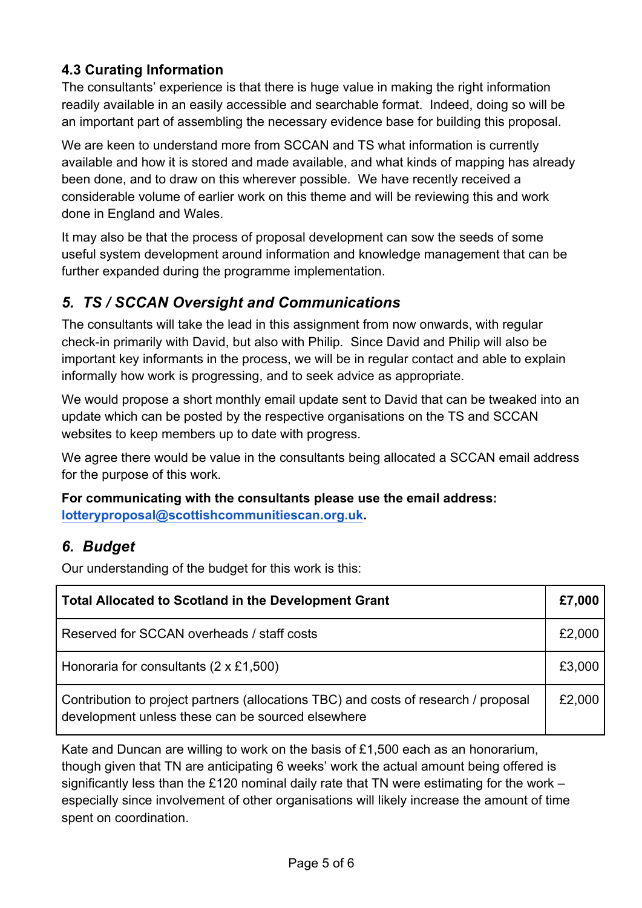### **4.3 Curating Information**

The consultants' experience is that there is huge value in making the right information readily available in an easily accessible and searchable format. Indeed, doing so will be an important part of assembling the necessary evidence base for building this proposal.

We are keen to understand more from SCCAN and TS what information is currently available and how it is stored and made available, and what kinds of mapping has already been done, and to draw on this wherever possible. We have recently received a considerable volume of earlier work on this theme and will be reviewing this and work done in England and Wales.

It may also be that the process of proposal development can sow the seeds of some useful system development around information and knowledge management that can be further expanded during the programme implementation.

### *5. TS / SCCAN Oversight and Communications*

The consultants will take the lead in this assignment from now onwards, with regular check-in primarily with David, but also with Philip. Since David and Philip will also be important key informants in the process, we will be in regular contact and able to explain informally how work is progressing, and to seek advice as appropriate.

We would propose a short monthly email update sent to David that can be tweaked into an update which can be posted by the respective organisations on the TS and SCCAN websites to keep members up to date with progress.

We agree there would be value in the consultants being allocated a SCCAN email address for the purpose of this work.

**For communicating with the consultants please use the email address: lotteryproposal@scottishcommunitiescan.org.uk.**

### *6. Budget*

Our understanding of the budget for this work is this:

| <b>Total Allocated to Scotland in the Development Grant</b>                                                                              |        |  |
|------------------------------------------------------------------------------------------------------------------------------------------|--------|--|
| Reserved for SCCAN overheads / staff costs                                                                                               | £2,000 |  |
| Honoraria for consultants $(2 \times £1,500)$                                                                                            | £3,000 |  |
| Contribution to project partners (allocations TBC) and costs of research / proposal<br>development unless these can be sourced elsewhere | £2,000 |  |

Kate and Duncan are willing to work on the basis of £1,500 each as an honorarium, though given that TN are anticipating 6 weeks' work the actual amount being offered is significantly less than the £120 nominal daily rate that TN were estimating for the work – especially since involvement of other organisations will likely increase the amount of time spent on coordination.